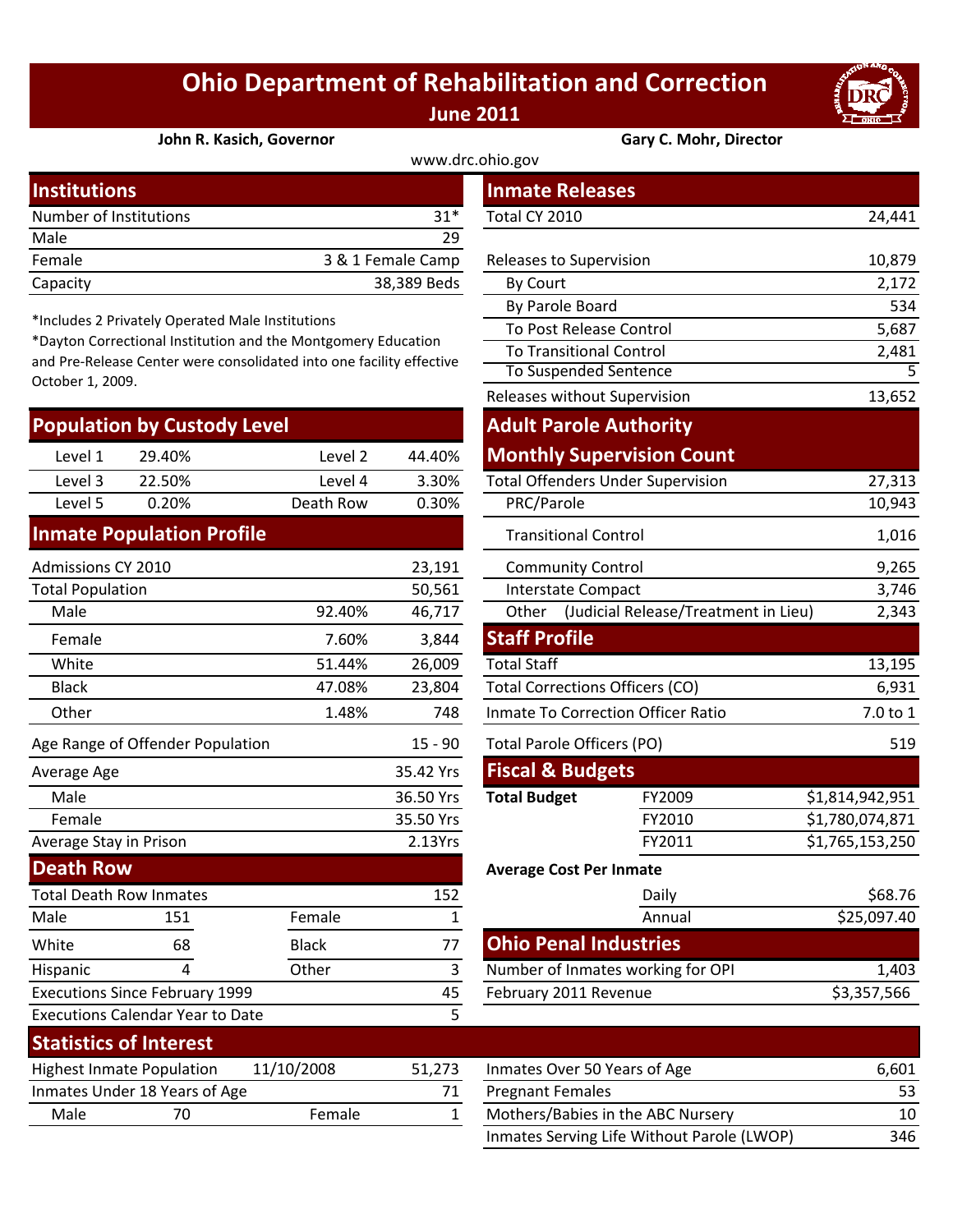## **Ohio Department of Rehabilitation and Correction June 2011**

5



**John R. Kasich, Governor Gary C. Mohr, Director**

| www.drc.ohio.gov       |                   |                         |        |  |  |
|------------------------|-------------------|-------------------------|--------|--|--|
| <b>Institutions</b>    |                   | <b>Inmate Releases</b>  |        |  |  |
| Number of Institutions | $31*$             | Total CY 2010           | 24,441 |  |  |
| Male                   | 29                |                         |        |  |  |
| Female                 | 3 & 1 Female Camp | Releases to Supervision | 10,879 |  |  |
| Capacity               | 38,389 Beds       | By Court                | 2,172  |  |  |

\*Includes 2 Privately Operated Male Institutions

\*Dayton Correctional Institution and the Montgomery Education and Pre‐Release Center were consolidated into one facility effective October 1, 2009.

| <b>Population by Custody Level</b> |        |           |        |  |  |  |
|------------------------------------|--------|-----------|--------|--|--|--|
| Level 1                            | 29.40% | Level 2   | 44.40% |  |  |  |
| Level 3                            | 22.50% | Level 4   | 3.30%  |  |  |  |
| Level 5                            | 0.20%  | Death Row | 0.30%  |  |  |  |
|                                    |        |           |        |  |  |  |

## **Inmate Population Profile**

Executions Since February 1999

Executions Calendar Year to Date

| Admissions CY 2010               |                                |              | 23,191                         | <b>Community Control</b>                      |                 |                 |
|----------------------------------|--------------------------------|--------------|--------------------------------|-----------------------------------------------|-----------------|-----------------|
| <b>Total Population</b>          |                                |              | 50,561                         | Interstate Compact                            |                 |                 |
| Male                             |                                | 92.40%       | 46,717                         | (Judicial Release/Treatment in Lieu)<br>Other |                 |                 |
| Female                           |                                | 7.60%        | 3,844                          | <b>Staff Profile</b>                          |                 |                 |
| White                            |                                | 51.44%       | 26,009                         | <b>Total Staff</b>                            |                 | 13,195          |
| <b>Black</b>                     |                                | 47.08%       | 23,804                         | <b>Total Corrections Officers (CO)</b>        |                 | 6,931           |
| Other                            |                                | 1.48%        | 748                            | <b>Inmate To Correction Officer Ratio</b>     | 7.0 to 1        |                 |
| Age Range of Offender Population |                                |              | $15 - 90$                      | Total Parole Officers (PO)                    |                 | 519             |
| Average Age                      |                                |              | 35.42 Yrs                      | <b>Fiscal &amp; Budgets</b>                   |                 |                 |
| Male                             |                                |              | 36.50 Yrs                      | <b>Total Budget</b>                           | FY2009          | \$1,814,942,951 |
| Female                           |                                |              | 35.50 Yrs                      |                                               | FY2010          | \$1,780,074,871 |
| Average Stay in Prison           |                                |              | 2.13Yrs                        |                                               | \$1,765,153,250 |                 |
| <b>Death Row</b>                 |                                |              | <b>Average Cost Per Inmate</b> |                                               |                 |                 |
|                                  | <b>Total Death Row Inmates</b> |              | 152                            |                                               | Daily           | \$68.76         |
| Male                             | 151                            | Female       |                                |                                               | Annual          | \$25,097.40     |
| White                            | 68                             | <b>Black</b> | 77                             | <b>Ohio Penal Industries</b>                  |                 |                 |

| stitutions          |                                               |                                                                  |                   | <b>Inmate Releases</b>                 |                                          |                 |  |
|---------------------|-----------------------------------------------|------------------------------------------------------------------|-------------------|----------------------------------------|------------------------------------------|-----------------|--|
|                     | mber of Institutions                          |                                                                  | $31*$             | Total CY 2010                          |                                          |                 |  |
| le                  |                                               |                                                                  | 29                |                                        |                                          |                 |  |
| nale                |                                               |                                                                  | 3 & 1 Female Camp | Releases to Supervision                |                                          | 10,879          |  |
| acity               |                                               |                                                                  | 38,389 Beds       | By Court                               |                                          | 2,172           |  |
|                     |                                               |                                                                  |                   | By Parole Board                        |                                          | 534             |  |
|                     | cludes 2 Privately Operated Male Institutions | yton Correctional Institution and the Montgomery Education       |                   | To Post Release Control                |                                          | 5,687           |  |
|                     |                                               | Pre-Release Center were consolidated into one facility effective |                   | <b>To Transitional Control</b>         |                                          | 2,481           |  |
| ober 1, 2009.       |                                               |                                                                  |                   | To Suspended Sentence                  |                                          | 5               |  |
|                     |                                               |                                                                  |                   | Releases without Supervision           |                                          | 13,652          |  |
|                     | pulation by Custody Level                     |                                                                  |                   | <b>Adult Parole Authority</b>          |                                          |                 |  |
| Level 1             | 29.40%                                        | Level 2                                                          | 44.40%            |                                        | <b>Monthly Supervision Count</b>         |                 |  |
| Level 3             | 22.50%                                        | Level 4                                                          | 3.30%             |                                        | <b>Total Offenders Under Supervision</b> | 27,313          |  |
| Level 5             | 0.20%                                         | Death Row                                                        | 0.30%             | PRC/Parole                             |                                          | 10,943          |  |
|                     | mate Population Profile                       |                                                                  |                   | <b>Transitional Control</b>            |                                          | 1,016           |  |
| nissions CY 2010    |                                               |                                                                  | 23,191            | <b>Community Control</b>               |                                          | 9,265           |  |
| al Population       |                                               |                                                                  | 50,561            | <b>Interstate Compact</b>              |                                          | 3,746           |  |
| Male                |                                               | 92.40%                                                           | 46,717            | Other                                  | (Judicial Release/Treatment in Lieu)     | 2,343           |  |
| Female              |                                               | 7.60%                                                            | 3,844             | <b>Staff Profile</b>                   |                                          |                 |  |
| White               |                                               | 51.44%                                                           | 26,009            | <b>Total Staff</b>                     |                                          | 13,195          |  |
| <b>Black</b>        |                                               | 47.08%                                                           | 23,804            | <b>Total Corrections Officers (CO)</b> |                                          | 6,931           |  |
| <b>Other</b>        |                                               | 1.48%                                                            | 748               | Inmate To Correction Officer Ratio     |                                          | 7.0 to 1        |  |
|                     | Range of Offender Population                  |                                                                  | $15 - 90$         | <b>Total Parole Officers (PO)</b>      |                                          | 519             |  |
| rage Age            |                                               |                                                                  | 35.42 Yrs         | <b>Fiscal &amp; Budgets</b>            |                                          |                 |  |
| Vlale               |                                               |                                                                  | 36.50 Yrs         | <b>Total Budget</b>                    | FY2009                                   | \$1,814,942,951 |  |
| Female              |                                               |                                                                  | 35.50 Yrs         |                                        | FY2010                                   | \$1,780,074,871 |  |
| rage Stay in Prison |                                               |                                                                  | 2.13Yrs           |                                        | FY2011                                   | \$1,765,153,250 |  |
| ath Row             |                                               |                                                                  |                   | <b>Average Cost Per Inmate</b>         |                                          |                 |  |
|                     | al Death Row Inmates                          |                                                                  | 152               |                                        | Daily                                    | \$68.76         |  |
| le                  | 151                                           | Female                                                           | $\mathbf{1}$      |                                        | Annual                                   | \$25,097.40     |  |
| ite                 | 68                                            | <b>Black</b>                                                     | 77                | <b>Ohio Penal Industries</b>           |                                          |                 |  |
| panic               | 4                                             | Other                                                            | $\mathbf{3}$      |                                        | Number of Inmates working for OPI        | 1,403           |  |
|                     | cutions Since February 1999<br>45             |                                                                  |                   | February 2011 Revenue                  |                                          | \$3,357,566     |  |
|                     | cutions Calendar Year to Date                 |                                                                  | 5                 |                                        |                                          |                 |  |

| <b>Statistics of Interest</b>    |                               |            |            |                              |
|----------------------------------|-------------------------------|------------|------------|------------------------------|
| <b>Highest Inmate Population</b> |                               | 11/10/2008 | 51.273     | Inmates Over 50 Years of Age |
|                                  | Inmates Under 18 Years of Age |            | $\sqrt{1}$ | <b>Pregnant Females</b>      |
| Male                             |                               | Female     |            | Mothers/Babies in the ABC No |
|                                  |                               |            |            |                              |

Hispanic 4 Other 3

| Statistics Of Interest                         |                               |        |                              |                                            |     |
|------------------------------------------------|-------------------------------|--------|------------------------------|--------------------------------------------|-----|
| 11/10/2008<br><b>Highest Inmate Population</b> |                               | 51.273 | Inmates Over 50 Years of Age | 6.601                                      |     |
|                                                | Inmates Under 18 Years of Age |        |                              | <b>Pregnant Females</b>                    | 53  |
| Male                                           | 70                            | Female |                              | Mothers/Babies in the ABC Nursery          | 10  |
|                                                |                               |        |                              | Inmates Serving Life Without Parole (LWOP) | 346 |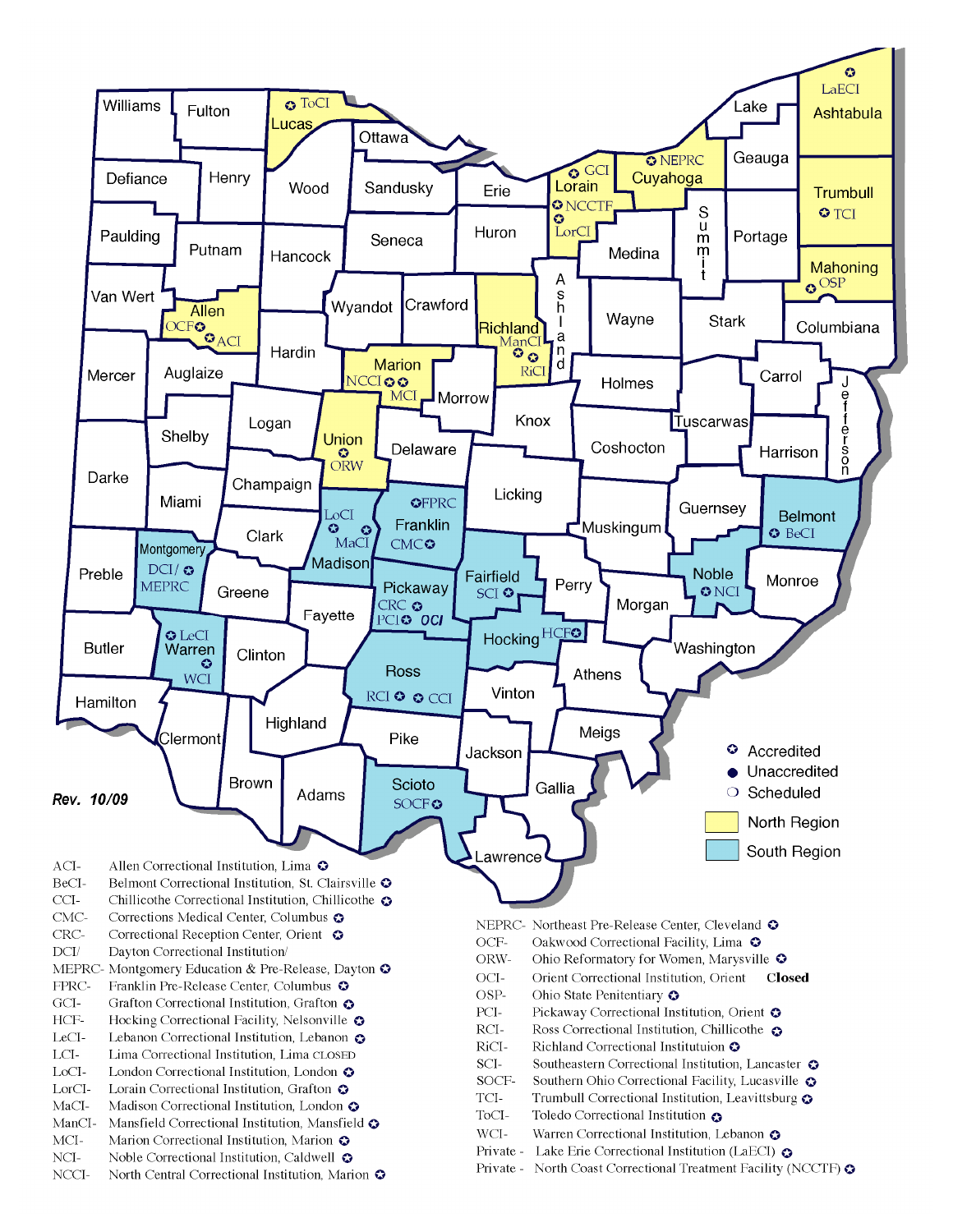